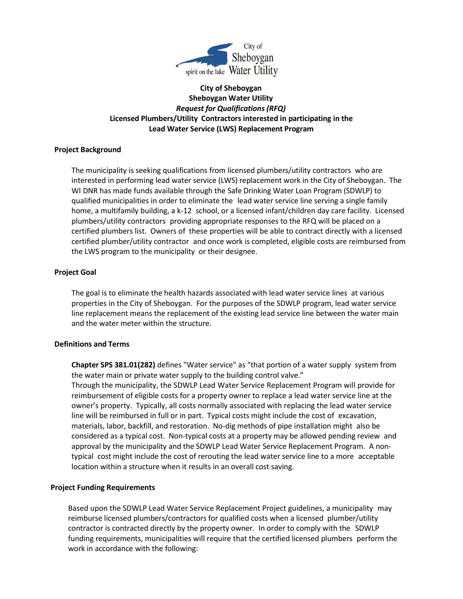

# **City of Sheboygan Sheboygan Water Utility** *Request for Qualifications (RFQ)* **Licensed Plumbers/Utility Contractors interested in participating in the Lead Water Service (LWS) Replacement Program**

# **Project Background**

The municipality is seeking qualifications from licensed plumbers/utility contractors who are interested in performing lead water service (LWS) replacement work in the City of Sheboygan. The WI DNR has made funds available through the Safe Drinking Water Loan Program (SDWLP) to qualified municipalities in order to eliminate the lead water service line serving a single family home, a multifamily building, a k-12 school, or a licensed infant/children day care facility. Licensed plumbers/utility contractors providing appropriate responses to the RFQ will be placed on a certified plumbers list. Owners of these properties will be able to contract directly with a licensed certified plumber/utility contractor and once work is completed, eligible costs are reimbursed from the LWS program to the municipality or their designee.

### **Project Goal**

The goal is to eliminate the health hazards associated with lead water service lines at various properties in the City of Sheboygan. For the purposes of the SDWLP program, lead water service line replacement means the replacement of the existing lead service line between the water main and the water meter within the structure.

#### **Definitions and Terms**

**Chapter SPS 381.01(282)** defines "Water service" as "that portion of a water supply system from the water main or private water supply to the building control valve."

Through the municipality, the SDWLP Lead Water Service Replacement Program will provide for reimbursement of eligible costs for a property owner to replace a lead water service line at the owner's property. Typically, all costs normally associated with replacing the lead water service line will be reimbursed in full or in part. Typical costs might include the cost of excavation, materials, labor, backfill, and restoration. No-dig methods of pipe installation might also be considered as a typical cost. Non-typical costs at a property may be allowed pending review and approval by the municipality and the SDWLP Lead Water Service Replacement Program. A nontypical cost might include the cost of rerouting the lead water service line to a more acceptable location within a structure when it results in an overall cost saving.

# **Project Funding Requirements**

Based upon the SDWLP Lead Water Service Replacement Project guidelines, a municipality may reimburse licensed plumbers/contractors for qualified costs when a licensed plumber/utility contractor is contracted directly by the property owner. In order to comply with the SDWLP funding requirements, municipalities will require that the certified licensed plumbers perform the work in accordance with the following: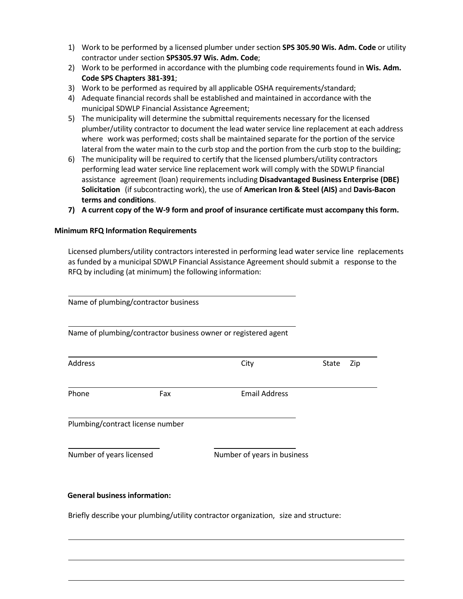- 1) Work to be performed by a licensed plumber under section **SPS 305.90 Wis. Adm. Code** or utility contractor under section **SPS305.97 Wis. Adm. Code**;
- 2) Work to be performed in accordance with the plumbing code requirements found in **Wis. Adm. Code SPS Chapters 381-391**;
- 3) Work to be performed as required by all applicable OSHA requirements/standard;
- 4) Adequate financial records shall be established and maintained in accordance with the municipal SDWLP Financial Assistance Agreement;
- 5) The municipality will determine the submittal requirements necessary for the licensed plumber/utility contractor to document the lead water service line replacement at each address where work was performed; costs shall be maintained separate for the portion of the service lateral from the water main to the curb stop and the portion from the curb stop to the building;
- 6) The municipality will be required to certify that the licensed plumbers/utility contractors performing lead water service line replacement work will comply with the SDWLP financial assistance agreement (loan) requirements including **Disadvantaged Business Enterprise (DBE) Solicitation** (if subcontracting work), the use of **American Iron & Steel (AIS)** and **Davis-Bacon terms and conditions**.
- **7) A current copy of the W-9 form and proof of insurance certificate must accompany this form.**

### **Minimum RFQ Information Requirements**

Licensed plumbers/utility contractors interested in performing lead water service line replacements as funded by a municipal SDWLP Financial Assistance Agreement should submit a response to the RFQ by including (at minimum) the following information:

|                                      | Name of plumbing/contractor business |                                                                                     |       |     |
|--------------------------------------|--------------------------------------|-------------------------------------------------------------------------------------|-------|-----|
|                                      |                                      | Name of plumbing/contractor business owner or registered agent                      |       |     |
| Address                              |                                      | City                                                                                | State | Zip |
| Phone                                | Fax                                  | <b>Email Address</b>                                                                |       |     |
|                                      | Plumbing/contract license number     |                                                                                     |       |     |
| Number of years licensed             |                                      | Number of years in business                                                         |       |     |
| <b>General business information:</b> |                                      |                                                                                     |       |     |
|                                      |                                      | Briefly describe your plumbing/utility contractor organization, size and structure: |       |     |